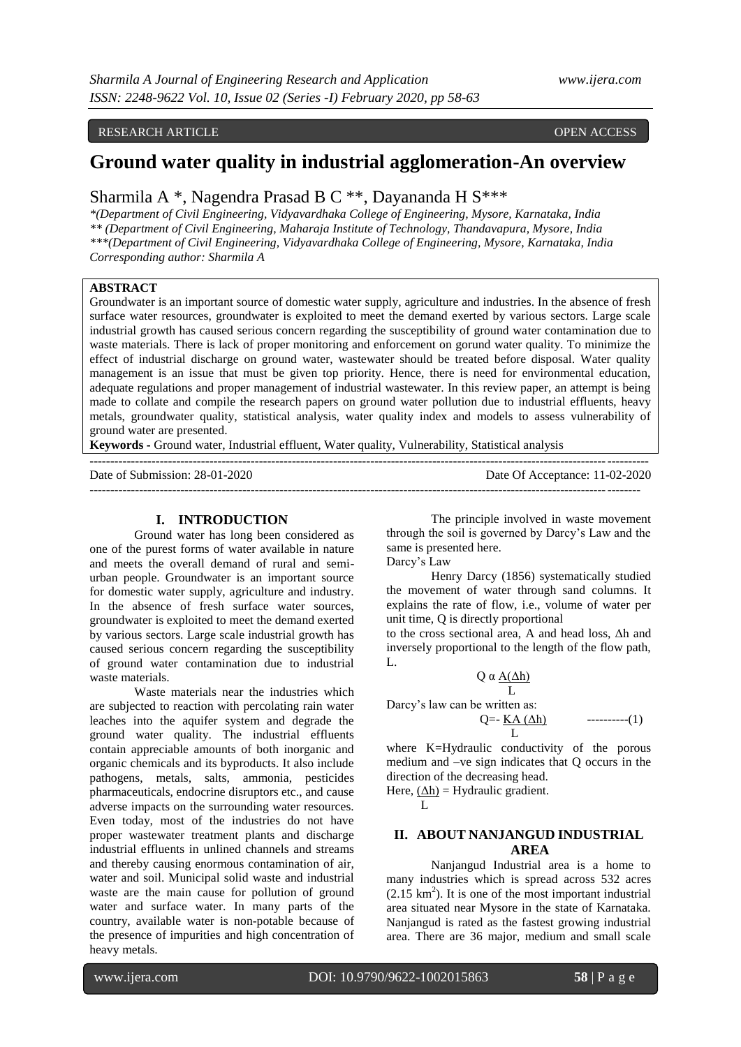#### RESEARCH ARTICLE OPEN ACCESS

# **Ground water quality in industrial agglomeration-An overview**

## Sharmila A \*, Nagendra Prasad B C \*\*, Dayananda H S\*\*\*

*\*(Department of Civil Engineering, Vidyavardhaka College of Engineering, Mysore, Karnataka, India \*\* (Department of Civil Engineering, Maharaja Institute of Technology, Thandavapura, Mysore, India \*\*\*(Department of Civil Engineering, Vidyavardhaka College of Engineering, Mysore, Karnataka, India Corresponding author: Sharmila A*

#### **ABSTRACT**

Groundwater is an important source of domestic water supply, agriculture and industries. In the absence of fresh surface water resources, groundwater is exploited to meet the demand exerted by various sectors. Large scale industrial growth has caused serious concern regarding the susceptibility of ground water contamination due to waste materials. There is lack of proper monitoring and enforcement on gorund water quality. To minimize the effect of industrial discharge on ground water, wastewater should be treated before disposal. Water quality management is an issue that must be given top priority. Hence, there is need for environmental education, adequate regulations and proper management of industrial wastewater. In this review paper, an attempt is being made to collate and compile the research papers on ground water pollution due to industrial effluents, heavy metals, groundwater quality, statistical analysis, water quality index and models to assess vulnerability of ground water are presented.

**Keywords -** Ground water, Industrial effluent, Water quality, Vulnerability, Statistical analysis

| Date of Submission: 28-01-2020 | Date Of Acceptance: 11-02-2020 |
|--------------------------------|--------------------------------|
|                                |                                |

#### **I. INTRODUCTION**

Ground water has long been considered as one of the purest forms of water available in nature and meets the overall demand of rural and semiurban people. Groundwater is an important source for domestic water supply, agriculture and industry. In the absence of fresh surface water sources, groundwater is exploited to meet the demand exerted by various sectors. Large scale industrial growth has caused serious concern regarding the susceptibility of ground water contamination due to industrial waste materials.

Waste materials near the industries which are subjected to reaction with percolating rain water leaches into the aquifer system and degrade the ground water quality. The industrial effluents contain appreciable amounts of both inorganic and organic chemicals and its byproducts. It also include pathogens, metals, salts, ammonia, pesticides pharmaceuticals, endocrine disruptors etc., and cause adverse impacts on the surrounding water resources. Even today, most of the industries do not have proper wastewater treatment plants and discharge industrial effluents in unlined channels and streams and thereby causing enormous contamination of air, water and soil. Municipal solid waste and industrial waste are the main cause for pollution of ground water and surface water. In many parts of the country, available water is non-potable because of the presence of impurities and high concentration of heavy metals.

The principle involved in waste movement through the soil is governed by Darcy"s Law and the same is presented here.

Darcy"s Law

Henry Darcy (1856) systematically studied the movement of water through sand columns. It explains the rate of flow, i.e., volume of water per unit time, Q is directly proportional

to the cross sectional area, A and head loss, Δh and inversely proportional to the length of the flow path, L.

$$
Q \alpha \frac{A(\Delta h)}{L}
$$

Darcy's law can be written as:

$$
Q=-\underline{KA(\Delta h)} \qquad \qquad \qquad -\qquad(1)
$$

where K=Hydraulic conductivity of the porous medium and –ve sign indicates that Q occurs in the direction of the decreasing head.

Here,  $(\Delta h)$  = Hydraulic gradient.

$$
\qquad \qquad \mathbf{L}%
$$

## **II. ABOUT NANJANGUD INDUSTRIAL AREA**

Nanjangud Industrial area is a home to many industries which is spread across 532 acres  $(2.15 \text{ km}^2)$ . It is one of the most important industrial area situated near Mysore in the state of Karnataka. Nanjangud is rated as the fastest growing industrial area. There are 36 major, medium and small scale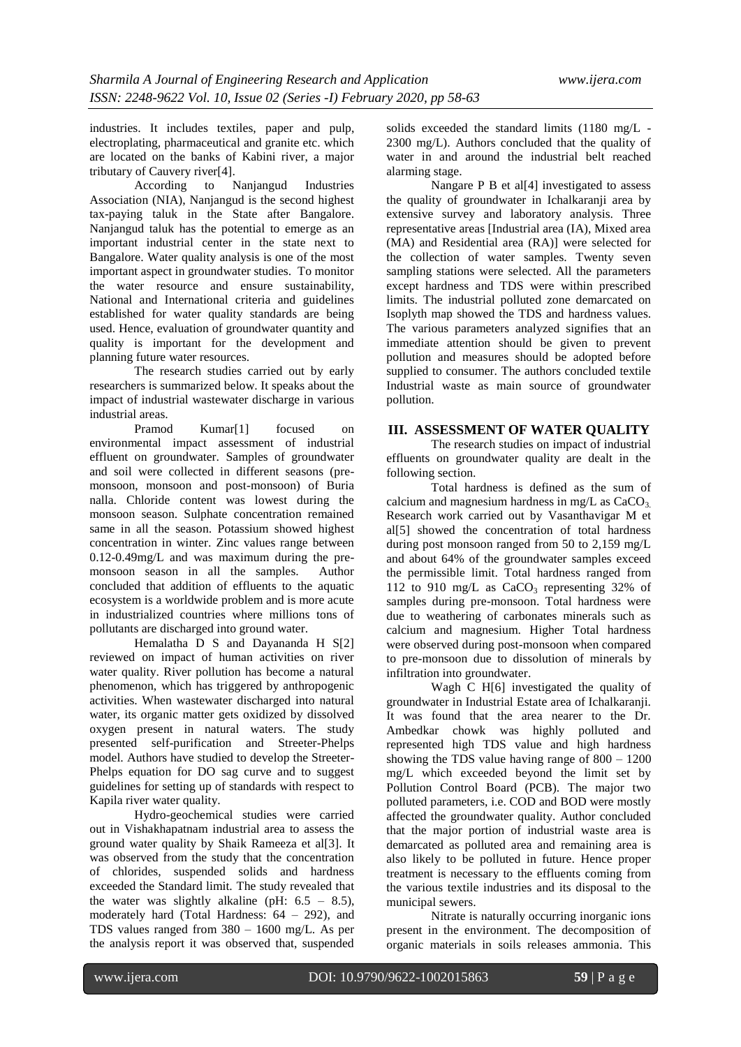industries. It includes textiles, paper and pulp, electroplating, pharmaceutical and granite etc. which are located on the banks of Kabini river, a major tributary of Cauvery river[4].<br>According to  $\Gamma$ 

to Nanjangud Industries Association (NIA), Nanjangud is the second highest tax-paying taluk in the State after Bangalore. Nanjangud taluk has the potential to emerge as an important industrial center in the state next to Bangalore. Water quality analysis is one of the most important aspect in groundwater studies. To monitor the water resource and ensure sustainability, National and International criteria and guidelines established for water quality standards are being used. Hence, evaluation of groundwater quantity and quality is important for the development and planning future water resources.

The research studies carried out by early researchers is summarized below. It speaks about the impact of industrial wastewater discharge in various industrial areas.

Pramod Kumar<sup>[1]</sup> focused on environmental impact assessment of industrial effluent on groundwater. Samples of groundwater and soil were collected in different seasons (premonsoon, monsoon and post-monsoon) of Buria nalla. Chloride content was lowest during the monsoon season. Sulphate concentration remained same in all the season. Potassium showed highest concentration in winter. Zinc values range between 0.12-0.49mg/L and was maximum during the premonsoon season in all the samples. Author concluded that addition of effluents to the aquatic ecosystem is a worldwide problem and is more acute in industrialized countries where millions tons of pollutants are discharged into ground water.

Hemalatha D S and Dayananda H S[2] reviewed on impact of human activities on river water quality. River pollution has become a natural phenomenon, which has triggered by anthropogenic activities. When wastewater discharged into natural water, its organic matter gets oxidized by dissolved oxygen present in natural waters. The study presented self-purification and Streeter-Phelps model. Authors have studied to develop the Streeter-Phelps equation for DO sag curve and to suggest guidelines for setting up of standards with respect to Kapila river water quality.

Hydro-geochemical studies were carried out in Vishakhapatnam industrial area to assess the ground water quality by Shaik Rameeza et al[3]. It was observed from the study that the concentration of chlorides, suspended solids and hardness exceeded the Standard limit. The study revealed that the water was slightly alkaline (pH:  $6.5 - 8.5$ ), moderately hard (Total Hardness: 64 – 292), and TDS values ranged from 380 – 1600 mg/L. As per the analysis report it was observed that, suspended

solids exceeded the standard limits (1180 mg/L - 2300 mg/L). Authors concluded that the quality of water in and around the industrial belt reached alarming stage.

Nangare P B et al<sup>[4]</sup> investigated to assess the quality of groundwater in Ichalkaranii area by extensive survey and laboratory analysis. Three representative areas [Industrial area (IA), Mixed area (MA) and Residential area (RA)] were selected for the collection of water samples. Twenty seven sampling stations were selected. All the parameters except hardness and TDS were within prescribed limits. The industrial polluted zone demarcated on Isoplyth map showed the TDS and hardness values. The various parameters analyzed signifies that an immediate attention should be given to prevent pollution and measures should be adopted before supplied to consumer. The authors concluded textile Industrial waste as main source of groundwater pollution.

## **III. ASSESSMENT OF WATER QUALITY**

The research studies on impact of industrial effluents on groundwater quality are dealt in the following section.

Total hardness is defined as the sum of calcium and magnesium hardness in mg/L as  $CaCO<sub>3</sub>$ . Research work carried out by Vasanthavigar M et al[5] showed the concentration of total hardness during post monsoon ranged from 50 to 2,159 mg/L and about 64% of the groundwater samples exceed the permissible limit. Total hardness ranged from 112 to 910 mg/L as  $CaCO<sub>3</sub>$  representing 32% of samples during pre-monsoon. Total hardness were due to weathering of carbonates minerals such as calcium and magnesium. Higher Total hardness were observed during post-monsoon when compared to pre-monsoon due to dissolution of minerals by infiltration into groundwater.

Wagh C H[6] investigated the quality of groundwater in Industrial Estate area of Ichalkaranji. It was found that the area nearer to the Dr. Ambedkar chowk was highly polluted and represented high TDS value and high hardness showing the TDS value having range of  $800 - 1200$ mg/L which exceeded beyond the limit set by Pollution Control Board (PCB). The major two polluted parameters, i.e. COD and BOD were mostly affected the groundwater quality. Author concluded that the major portion of industrial waste area is demarcated as polluted area and remaining area is also likely to be polluted in future. Hence proper treatment is necessary to the effluents coming from the various textile industries and its disposal to the municipal sewers.

Nitrate is naturally occurring inorganic ions present in the environment. The decomposition of organic materials in soils releases ammonia. This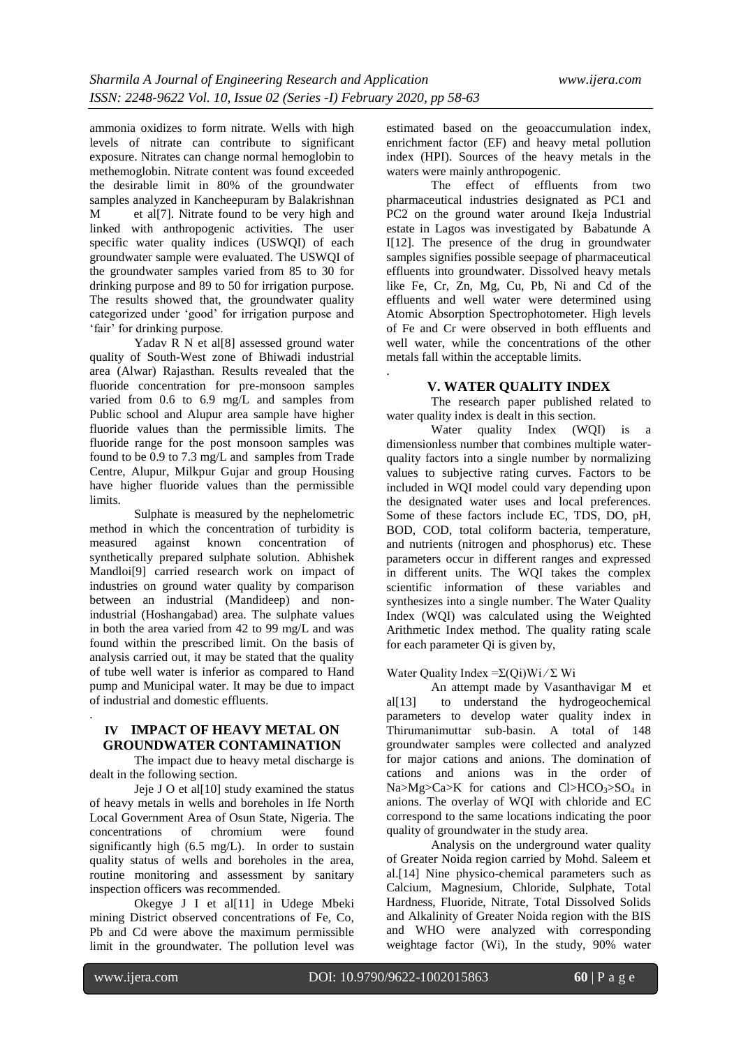ammonia oxidizes to form nitrate. Wells with high levels of nitrate can contribute to significant exposure. Nitrates can change normal hemoglobin to methemoglobin. Nitrate content was found exceeded the desirable limit in 80% of the groundwater samples analyzed in Kancheepuram by Balakrishnan M et all<sup>[7]</sup>. Nitrate found to be very high and linked with anthropogenic activities. The user specific water quality indices (USWQI) of each groundwater sample were evaluated. The USWQI of the groundwater samples varied from 85 to 30 for drinking purpose and 89 to 50 for irrigation purpose. The results showed that, the groundwater quality categorized under "good" for irrigation purpose and 'fair' for drinking purpose.

Yadav R N et al<sup>[8]</sup> assessed ground water quality of South-West zone of Bhiwadi industrial area (Alwar) Rajasthan. Results revealed that the fluoride concentration for pre-monsoon samples varied from 0.6 to 6.9 mg/L and samples from Public school and Alupur area sample have higher fluoride values than the permissible limits. The fluoride range for the post monsoon samples was found to be 0.9 to 7.3 mg/L and samples from Trade Centre, Alupur, Milkpur Gujar and group Housing have higher fluoride values than the permissible limits.

Sulphate is measured by the nephelometric method in which the concentration of turbidity is measured against known concentration of synthetically prepared sulphate solution. Abhishek Mandloi[9] carried research work on impact of industries on ground water quality by comparison between an industrial (Mandideep) and nonindustrial (Hoshangabad) area. The sulphate values in both the area varied from 42 to 99 mg/L and was found within the prescribed limit. On the basis of analysis carried out, it may be stated that the quality of tube well water is inferior as compared to Hand pump and Municipal water. It may be due to impact of industrial and domestic effluents.

#### **IV IMPACT OF HEAVY METAL ON GROUNDWATER CONTAMINATION**

The impact due to heavy metal discharge is dealt in the following section.

Jeje J O et al[10] study examined the status of heavy metals in wells and boreholes in Ife North Local Government Area of Osun State, Nigeria. The concentrations of chromium were found significantly high (6.5 mg/L). In order to sustain quality status of wells and boreholes in the area, routine monitoring and assessment by sanitary inspection officers was recommended.

Okegye J I et al[11] in Udege Mbeki mining District observed concentrations of Fe, Co, Pb and Cd were above the maximum permissible limit in the groundwater. The pollution level was

estimated based on the geoaccumulation index, enrichment factor (EF) and heavy metal pollution index (HPI). Sources of the heavy metals in the waters were mainly anthropogenic.

The effect of effluents from two pharmaceutical industries designated as PC1 and PC2 on the ground water around Ikeja Industrial estate in Lagos was investigated by Babatunde A I[12]. The presence of the drug in groundwater samples signifies possible seepage of pharmaceutical effluents into groundwater. Dissolved heavy metals like Fe, Cr, Zn, Mg, Cu, Pb, Ni and Cd of the effluents and well water were determined using Atomic Absorption Spectrophotometer. High levels of Fe and Cr were observed in both effluents and well water, while the concentrations of the other metals fall within the acceptable limits.

#### **V. WATER QUALITY INDEX**

The research paper published related to water quality index is dealt in this section.

Water quality Index (WQI) is a dimensionless number that combines multiple waterquality factors into a single number by normalizing values to subjective rating curves. Factors to be included in WQI model could vary depending upon the designated water uses and local preferences. Some of these factors include EC, TDS, DO, pH, BOD, COD, total coliform bacteria, temperature, and nutrients (nitrogen and phosphorus) etc. These parameters occur in different ranges and expressed in different units. The WQI takes the complex scientific information of these variables and synthesizes into a single number. The Water Quality Index (WQI) was calculated using the Weighted Arithmetic Index method. The quality rating scale for each parameter Qi is given by,

#### Water Quality Index = $\Sigma$ (Qi)Wi/ $\Sigma$  Wi

An attempt made by Vasanthavigar M et al[13] to understand the hydrogeochemical parameters to develop water quality index in Thirumanimuttar sub-basin. A total of 148 groundwater samples were collected and analyzed for major cations and anions. The domination of cations and anions was in the order of  $Na > Mg > Ca > K$  for cations and  $Cl > HCO<sub>3</sub> > SO<sub>4</sub>$  in anions. The overlay of WQI with chloride and EC correspond to the same locations indicating the poor quality of groundwater in the study area.

Analysis on the underground water quality of Greater Noida region carried by Mohd. Saleem et al.[14] Nine physico-chemical parameters such as Calcium, Magnesium, Chloride, Sulphate, Total Hardness, Fluoride, Nitrate, Total Dissolved Solids and Alkalinity of Greater Noida region with the BIS and WHO were analyzed with corresponding weightage factor (Wi), In the study, 90% water

.

.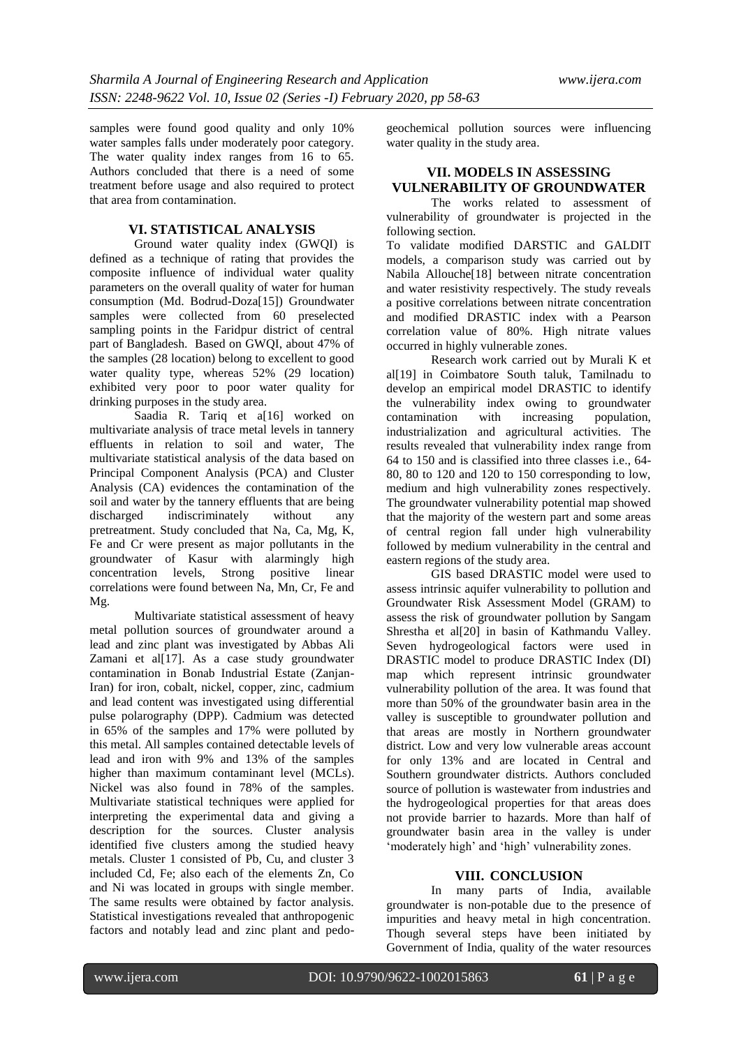samples were found good quality and only 10% water samples falls under moderately poor category. The water quality index ranges from 16 to 65. Authors concluded that there is a need of some treatment before usage and also required to protect that area from contamination.

## **VI. STATISTICAL ANALYSIS**

Ground water quality index (GWQI) is defined as a technique of rating that provides the composite influence of individual water quality parameters on the overall quality of water for human consumption (Md. Bodrud-Doza[15]) Groundwater samples were collected from 60 preselected sampling points in the Faridpur district of central part of Bangladesh. Based on GWQI, about 47% of the samples (28 location) belong to excellent to good water quality type, whereas 52% (29 location) exhibited very poor to poor water quality for drinking purposes in the study area.

Saadia R. Tariq et a[16] worked on multivariate analysis of trace metal levels in tannery effluents in relation to soil and water, The multivariate statistical analysis of the data based on Principal Component Analysis (PCA) and Cluster Analysis (CA) evidences the contamination of the soil and water by the tannery effluents that are being discharged indiscriminately without any pretreatment. Study concluded that Na, Ca, Mg, K, Fe and Cr were present as major pollutants in the groundwater of Kasur with alarmingly high concentration levels, Strong positive linear correlations were found between Na, Mn, Cr, Fe and Mg.

Multivariate statistical assessment of heavy metal pollution sources of groundwater around a lead and zinc plant was investigated by Abbas Ali Zamani et al[17]. As a case study groundwater contamination in Bonab Industrial Estate (Zanjan-Iran) for iron, cobalt, nickel, copper, zinc, cadmium and lead content was investigated using differential pulse polarography (DPP). Cadmium was detected in 65% of the samples and 17% were polluted by this metal. All samples contained detectable levels of lead and iron with 9% and 13% of the samples higher than maximum contaminant level (MCLs). Nickel was also found in 78% of the samples. Multivariate statistical techniques were applied for interpreting the experimental data and giving a description for the sources. Cluster analysis identified five clusters among the studied heavy metals. Cluster 1 consisted of Pb, Cu, and cluster 3 included Cd, Fe; also each of the elements Zn, Co and Ni was located in groups with single member. The same results were obtained by factor analysis. Statistical investigations revealed that anthropogenic factors and notably lead and zinc plant and pedogeochemical pollution sources were influencing water quality in the study area.

## **VII. MODELS IN ASSESSING VULNERABILITY OF GROUNDWATER**

The works related to assessment of vulnerability of groundwater is projected in the following section.

To validate modified DARSTIC and GALDIT models, a comparison study was carried out by Nabila Allouche[18] between nitrate concentration and water resistivity respectively. The study reveals a positive correlations between nitrate concentration and modified DRASTIC index with a Pearson correlation value of 80%. High nitrate values occurred in highly vulnerable zones.

Research work carried out by Murali K et al[19] in Coimbatore South taluk, Tamilnadu to develop an empirical model DRASTIC to identify the vulnerability index owing to groundwater contamination with increasing population, industrialization and agricultural activities. The results revealed that vulnerability index range from 64 to 150 and is classified into three classes i.e., 64- 80, 80 to 120 and 120 to 150 corresponding to low, medium and high vulnerability zones respectively. The groundwater vulnerability potential map showed that the majority of the western part and some areas of central region fall under high vulnerability followed by medium vulnerability in the central and eastern regions of the study area.

GIS based DRASTIC model were used to assess intrinsic aquifer vulnerability to pollution and Groundwater Risk Assessment Model (GRAM) to assess the risk of groundwater pollution by Sangam Shrestha et al[20] in basin of Kathmandu Valley. Seven hydrogeological factors were used in DRASTIC model to produce DRASTIC Index (DI) map which represent intrinsic groundwater vulnerability pollution of the area. It was found that more than 50% of the groundwater basin area in the valley is susceptible to groundwater pollution and that areas are mostly in Northern groundwater district. Low and very low vulnerable areas account for only 13% and are located in Central and Southern groundwater districts. Authors concluded source of pollution is wastewater from industries and the hydrogeological properties for that areas does not provide barrier to hazards. More than half of groundwater basin area in the valley is under 'moderately high' and 'high' vulnerability zones.

#### **VIII. CONCLUSION**

In many parts of India, available groundwater is non-potable due to the presence of impurities and heavy metal in high concentration. Though several steps have been initiated by Government of India, quality of the water resources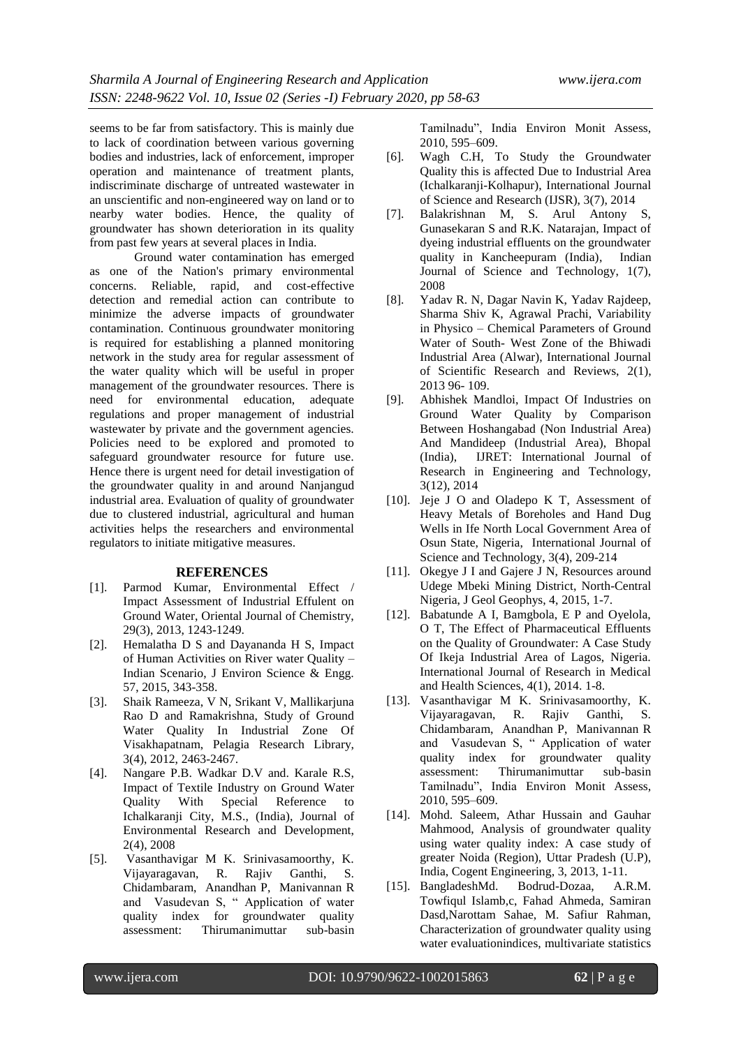seems to be far from satisfactory. This is mainly due to lack of coordination between various governing bodies and industries, lack of enforcement, improper operation and maintenance of treatment plants, indiscriminate discharge of untreated wastewater in an unscientific and non-engineered way on land or to nearby water bodies. Hence, the quality of groundwater has shown deterioration in its quality from past few years at several places in India.

Ground water contamination has emerged as one of the Nation's primary environmental concerns. Reliable, rapid, and cost-effective detection and remedial action can contribute to minimize the adverse impacts of groundwater contamination. Continuous groundwater monitoring is required for establishing a planned monitoring network in the study area for regular assessment of the water quality which will be useful in proper management of the groundwater resources. There is need for environmental education, adequate regulations and proper management of industrial wastewater by private and the government agencies. Policies need to be explored and promoted to safeguard groundwater resource for future use. Hence there is urgent need for detail investigation of the groundwater quality in and around Nanjangud industrial area. Evaluation of quality of groundwater due to clustered industrial, agricultural and human activities helps the researchers and environmental regulators to initiate mitigative measures.

#### **REFERENCES**

- [1]. Parmod Kumar, Environmental Effect / Impact Assessment of Industrial Effulent on Ground Water, Oriental Journal of Chemistry, 29(3), 2013, 1243-1249.
- [2]. Hemalatha D S and Dayananda H S, Impact of Human Activities on River water Quality – Indian Scenario, J Environ Science & Engg. 57, 2015, 343-358.
- [3]. Shaik Rameeza, V N, Srikant V, Mallikarjuna Rao D and Ramakrishna, Study of Ground Water Quality In Industrial Zone Of Visakhapatnam, Pelagia Research Library, 3(4), 2012, 2463-2467.
- [4]. Nangare P.B. Wadkar D.V and. Karale R.S, Impact of Textile Industry on Ground Water Quality With Special Reference to Ichalkaranji City, M.S., (India), Journal of Environmental Research and Development, 2(4), 2008
- [5]. Vasanthavigar M K. Srinivasamoorthy, K. Vijayaragavan, R. Rajiv Ganthi, S. Chidambaram, Anandhan P, Manivannan R and Vasudevan S, " Application of water quality index for groundwater quality assessment: Thirumanimuttar sub-basin

Tamilnadu", India Environ Monit Assess, 2010, 595–609.

- [6]. Wagh C.H, To Study the Groundwater Quality this is affected Due to Industrial Area (Ichalkaranji-Kolhapur), International Journal of Science and Research (IJSR), 3(7), 2014
- [7]. Balakrishnan M, S. Arul Antony S, Gunasekaran S and R.K. Natarajan, Impact of dyeing industrial effluents on the groundwater quality in Kancheepuram (India), Indian Journal of Science and Technology, 1(7), 2008
- [8]. Yadav R. N, Dagar Navin K, Yadav Rajdeep, Sharma Shiv K, Agrawal Prachi, Variability in Physico – Chemical Parameters of Ground Water of South- West Zone of the Bhiwadi Industrial Area (Alwar), International Journal of Scientific Research and Reviews, 2(1), 2013 96- 109.
- [9]. Abhishek Mandloi, Impact Of Industries on Ground Water Quality by Comparison Between Hoshangabad (Non Industrial Area) And Mandideep (Industrial Area), Bhopal (India), IJRET: International Journal of Research in Engineering and Technology, 3(12), 2014
- [10]. Jeje J O and Oladepo K T, Assessment of Heavy Metals of Boreholes and Hand Dug Wells in Ife North Local Government Area of Osun State, Nigeria, International Journal of Science and Technology, 3(4), 209-214
- [11]. Okegye J I and Gajere J N, Resources around Udege Mbeki Mining District, North-Central Nigeria, J Geol Geophys, 4, 2015, 1-7.
- [12]. Babatunde A I, Bamgbola, E P and Oyelola, O T, The Effect of Pharmaceutical Effluents on the Quality of Groundwater: A Case Study Of Ikeja Industrial Area of Lagos, Nigeria. International Journal of Research in Medical and Health Sciences, 4(1), 2014. 1-8.
- [13]. Vasanthavigar M K. Srinivasamoorthy, K. Vijayaragavan, R. Rajiv Ganthi, S. Chidambaram, Anandhan P, Manivannan R and Vasudevan S, " Application of water quality index for groundwater quality assessment: Thirumanimuttar sub-basin Tamilnadu", India Environ Monit Assess, 2010, 595–609.
- [14]. Mohd. Saleem, Athar Hussain and Gauhar Mahmood, Analysis of groundwater quality using water quality index: A case study of greater Noida (Region), Uttar Pradesh (U.P), India, Cogent Engineering, 3, 2013, 1-11.
- [15]. BangladeshMd. Bodrud-Dozaa, A.R.M. Towfiqul Islamb,c, Fahad Ahmeda, Samiran Dasd,Narottam Sahae, M. Safiur Rahman, Characterization of groundwater quality using water evaluationindices, multivariate statistics